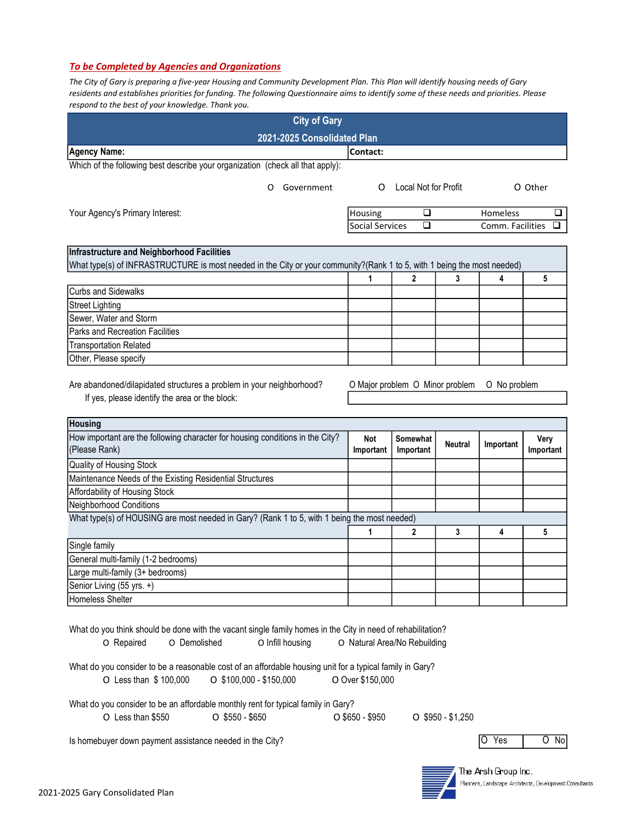## To be Completed by Agencies and Organizations

The City of Gary is preparing a five-year Housing and Community Development Plan. This Plan will identify housing needs of Gary residents and establishes priorities for funding. The following Questionnaire aims to identify some of these needs and priorities. Please respond to the best of your knowledge. Thank you.

| <b>City of Gary</b>                                                                                                                                           |                  |                                 |                |                  |                   |  |  |
|---------------------------------------------------------------------------------------------------------------------------------------------------------------|------------------|---------------------------------|----------------|------------------|-------------------|--|--|
| 2021-2025 Consolidated Plan                                                                                                                                   |                  |                                 |                |                  |                   |  |  |
| Agency Name:                                                                                                                                                  | Contact:         |                                 |                |                  |                   |  |  |
| Which of the following best describe your organization (check all that apply):                                                                                |                  |                                 |                |                  |                   |  |  |
| Government<br>O                                                                                                                                               | O                | Local Not for Profit            |                |                  | O Other           |  |  |
| Your Agency's Primary Interest:                                                                                                                               | Housing          | ❏                               |                | Homeless         | □                 |  |  |
|                                                                                                                                                               | Social Services  | □                               |                | Comm. Facilities | □                 |  |  |
|                                                                                                                                                               |                  |                                 |                |                  |                   |  |  |
| Infrastructure and Neighborhood Facilities                                                                                                                    |                  |                                 |                |                  |                   |  |  |
| What type(s) of INFRASTRUCTURE is most needed in the City or your community?(Rank 1 to 5, with 1 being the most needed)                                       |                  |                                 |                |                  |                   |  |  |
|                                                                                                                                                               | 1                | $\mathbf{2}$                    | 3              | 4                | 5                 |  |  |
| <b>Curbs and Sidewalks</b>                                                                                                                                    |                  |                                 |                |                  |                   |  |  |
| <b>Street Lighting</b>                                                                                                                                        |                  |                                 |                |                  |                   |  |  |
| Sewer, Water and Storm                                                                                                                                        |                  |                                 |                |                  |                   |  |  |
| <b>Parks and Recreation Facilities</b>                                                                                                                        |                  |                                 |                |                  |                   |  |  |
| <b>Transportation Related</b>                                                                                                                                 |                  |                                 |                |                  |                   |  |  |
| Other, Please specify                                                                                                                                         |                  |                                 |                |                  |                   |  |  |
| Are abandoned/dilapidated structures a problem in your neighborhood?<br>If yes, please identify the area or the block:                                        |                  | O Major problem O Minor problem |                | O No problem     |                   |  |  |
| Housing                                                                                                                                                       |                  |                                 |                |                  |                   |  |  |
| How important are the following character for housing conditions in the City?<br>(Please Rank)                                                                | Not<br>Important | Somewhat<br>Important           | <b>Neutral</b> | Important        | Very<br>Important |  |  |
| Quality of Housing Stock                                                                                                                                      |                  |                                 |                |                  |                   |  |  |
| Maintenance Needs of the Existing Residential Structures                                                                                                      |                  |                                 |                |                  |                   |  |  |
| Affordability of Housing Stock                                                                                                                                |                  |                                 |                |                  |                   |  |  |
| Neighborhood Conditions                                                                                                                                       |                  |                                 |                |                  |                   |  |  |
| What type(s) of HOUSING are most needed in Gary? (Rank 1 to 5, with 1 being the most needed)                                                                  |                  |                                 |                |                  |                   |  |  |
|                                                                                                                                                               | 1                | $\mathbf 2$                     | 3              | 4                | 5                 |  |  |
| Single family                                                                                                                                                 |                  |                                 |                |                  |                   |  |  |
| General multi-family (1-2 bedrooms)                                                                                                                           |                  |                                 |                |                  |                   |  |  |
| Large multi-family (3+ bedrooms)                                                                                                                              |                  |                                 |                |                  |                   |  |  |
| Senior Living (55 yrs. +)                                                                                                                                     |                  |                                 |                |                  |                   |  |  |
| Homeless Shelter                                                                                                                                              |                  |                                 |                |                  |                   |  |  |
|                                                                                                                                                               |                  |                                 |                |                  |                   |  |  |
| What do you think should be done with the vacant single family homes in the City in need of rehabilitation?<br>O Infill housing<br>O Repaired<br>O Demolished |                  | O Natural Area/No Rebuilding    |                |                  |                   |  |  |

What do you consider to be a reasonable cost of an affordable housing unit for a typical family in Gary? O Less than \$ 100,000 O \$100,000 - \$150,000 O Over \$150,000

What do you consider to be an affordable monthly rent for typical family in Gary?

O Less than \$550 O \$550 - \$650 O \$650 - \$950 O \$950 - \$1,250

Is homebuyer down payment assistance needed in the City? O Yes O No